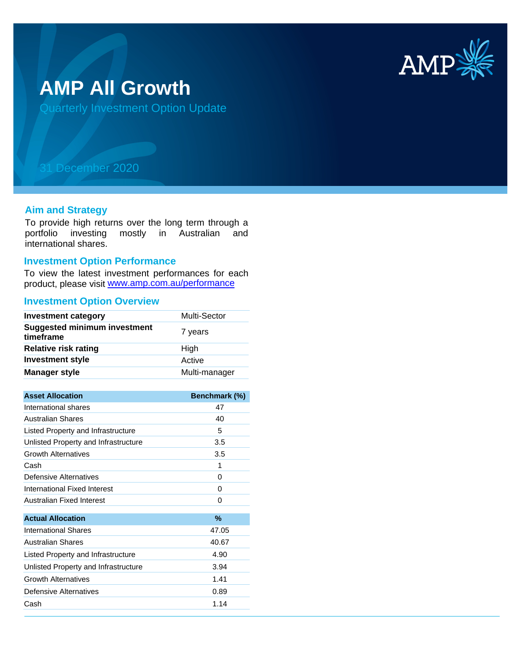

# **AMP All Growth**

Quarterly Investment Option Update

## 31 December 2020

#### **Aim and Strategy**

To provide high returns over the long term through a portfolio investing mostly in Australian and international shares.

#### **Investment Option Performance**

product, please visit www.amp.com.au/performance To view the latest investment performances for each

### **Investment Option Overview**

| <b>Investment category</b>                       | Multi-Sector  |
|--------------------------------------------------|---------------|
| <b>Suggested minimum investment</b><br>timeframe | 7 years       |
| <b>Relative risk rating</b>                      | High          |
| <b>Investment style</b>                          | Active        |
| Manager style                                    | Multi-manager |
|                                                  |               |
| <b>Asset Allocation</b>                          | Benchmark (%) |
| International shares                             | 47            |
| <b>Australian Shares</b>                         | 40            |
| Listed Property and Infrastructure               | 5             |
| Unlisted Property and Infrastructure             | 3.5           |
| <b>Growth Alternatives</b>                       | 3.5           |
| Cash                                             | 1             |
| Defensive Alternatives                           | 0             |
| International Fixed Interest                     | 0             |
| Australian Fixed Interest                        | $\Omega$      |
| <b>Actual Allocation</b>                         | %             |
| <b>International Shares</b>                      | 47.05         |
|                                                  |               |
| <b>Australian Shares</b>                         | 40.67         |
| Listed Property and Infrastructure               | 4.90          |
| Unlisted Property and Infrastructure             | 3.94          |
| <b>Growth Alternatives</b>                       | 1.41          |
| Defensive Alternatives                           | 0.89          |
| Cash                                             | 1.14          |
|                                                  |               |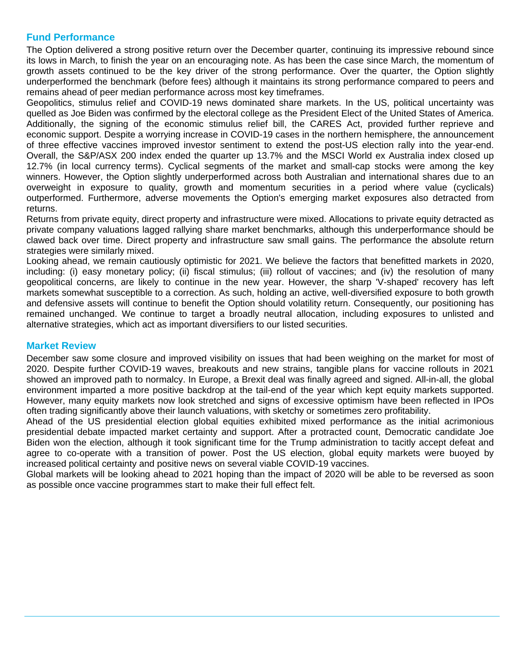#### **Fund Performance**

The Option delivered a strong positive return over the December quarter, continuing its impressive rebound since its lows in March, to finish the year on an encouraging note. As has been the case since March, the momentum of growth assets continued to be the key driver of the strong performance. Over the quarter, the Option slightly underperformed the benchmark (before fees) although it maintains its strong performance compared to peers and remains ahead of peer median performance across most key timeframes.

Geopolitics, stimulus relief and COVID-19 news dominated share markets. In the US, political uncertainty was quelled as Joe Biden was confirmed by the electoral college as the President Elect of the United States of America. Additionally, the signing of the economic stimulus relief bill, the CARES Act, provided further reprieve and economic support. Despite a worrying increase in COVID-19 cases in the northern hemisphere, the announcement of three effective vaccines improved investor sentiment to extend the post-US election rally into the year-end. Overall, the S&P/ASX 200 index ended the quarter up 13.7% and the MSCI World ex Australia index closed up 12.7% (in local currency terms). Cyclical segments of the market and small-cap stocks were among the key winners. However, the Option slightly underperformed across both Australian and international shares due to an overweight in exposure to quality, growth and momentum securities in a period where value (cyclicals) outperformed. Furthermore, adverse movements the Option's emerging market exposures also detracted from returns.

Returns from private equity, direct property and infrastructure were mixed. Allocations to private equity detracted as private company valuations lagged rallying share market benchmarks, although this underperformance should be clawed back over time. Direct property and infrastructure saw small gains. The performance the absolute return strategies were similarly mixed.

Looking ahead, we remain cautiously optimistic for 2021. We believe the factors that benefitted markets in 2020, including: (i) easy monetary policy; (ii) fiscal stimulus; (iii) rollout of vaccines; and (iv) the resolution of many geopolitical concerns, are likely to continue in the new year. However, the sharp 'V-shaped' recovery has left markets somewhat susceptible to a correction. As such, holding an active, well-diversified exposure to both growth and defensive assets will continue to benefit the Option should volatility return. Consequently, our positioning has remained unchanged. We continue to target a broadly neutral allocation, including exposures to unlisted and alternative strategies, which act as important diversifiers to our listed securities.

#### **Market Review**

December saw some closure and improved visibility on issues that had been weighing on the market for most of 2020. Despite further COVID-19 waves, breakouts and new strains, tangible plans for vaccine rollouts in 2021 showed an improved path to normalcy. In Europe, a Brexit deal was finally agreed and signed. All-in-all, the global environment imparted a more positive backdrop at the tail-end of the year which kept equity markets supported. However, many equity markets now look stretched and signs of excessive optimism have been reflected in IPOs often trading significantly above their launch valuations, with sketchy or sometimes zero profitability.

Ahead of the US presidential election global equities exhibited mixed performance as the initial acrimonious presidential debate impacted market certainty and support. After a protracted count, Democratic candidate Joe Biden won the election, although it took significant time for the Trump administration to tacitly accept defeat and agree to co-operate with a transition of power. Post the US election, global equity markets were buoyed by increased political certainty and positive news on several viable COVID-19 vaccines.

Global markets will be looking ahead to 2021 hoping than the impact of 2020 will be able to be reversed as soon as possible once vaccine programmes start to make their full effect felt.